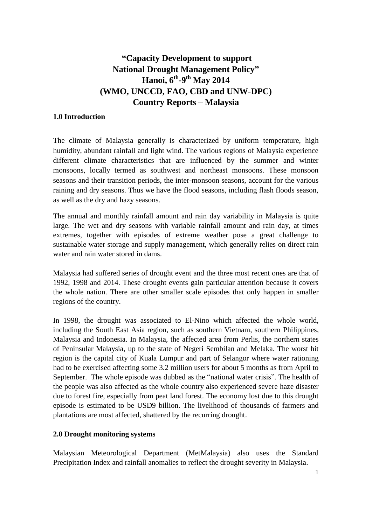# **"Capacity Development to support National Drought Management Policy" Hanoi, 6th -9 th May 2014 (WMO, UNCCD, FAO, CBD and UNW-DPC) Country Reports – Malaysia**

#### **1.0 Introduction**

The climate of Malaysia generally is characterized by uniform temperature, high humidity, abundant rainfall and light wind. The various regions of Malaysia experience different climate characteristics that are influenced by the summer and winter monsoons, locally termed as southwest and northeast monsoons. These monsoon seasons and their transition periods, the inter-monsoon seasons, account for the various raining and dry seasons. Thus we have the flood seasons, including flash floods season, as well as the dry and hazy seasons.

The annual and monthly rainfall amount and rain day variability in Malaysia is quite large. The wet and dry seasons with variable rainfall amount and rain day, at times extremes, together with episodes of extreme weather pose a great challenge to sustainable water storage and supply management, which generally relies on direct rain water and rain water stored in dams.

Malaysia had suffered series of drought event and the three most recent ones are that of 1992, 1998 and 2014. These drought events gain particular attention because it covers the whole nation. There are other smaller scale episodes that only happen in smaller regions of the country.

In 1998, the drought was associated to El-Nino which affected the whole world, including the South East Asia region, such as southern Vietnam, southern Philippines, Malaysia and Indonesia. In Malaysia, the affected area from Perlis, the northern states of Peninsular Malaysia, up to the state of Negeri Sembilan and Melaka. The worst hit region is the capital city of Kuala Lumpur and part of Selangor where water rationing had to be exercised affecting some 3.2 million users for about 5 months as from April to September. The whole episode was dubbed as the "national water crisis". The health of the people was also affected as the whole country also experienced severe haze disaster due to forest fire, especially from peat land forest. The economy lost due to this drought episode is estimated to be USD9 billion. The livelihood of thousands of farmers and plantations are most affected, shattered by the recurring drought.

#### **2.0 Drought monitoring systems**

Malaysian Meteorological Department (MetMalaysia) also uses the Standard Precipitation Index and rainfall anomalies to reflect the drought severity in Malaysia.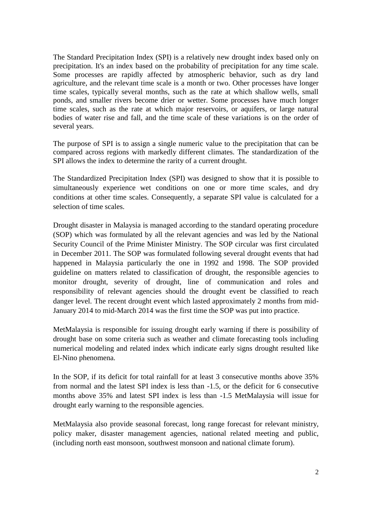The Standard Precipitation Index (SPI) is a relatively new drought index based only on precipitation. It's an index based on the probability of precipitation for any time scale. Some processes are rapidly affected by atmospheric behavior, such as dry land agriculture, and the relevant time scale is a month or two. Other processes have longer time scales, typically several months, such as the rate at which shallow wells, small ponds, and smaller rivers become drier or wetter. Some processes have much longer time scales, such as the rate at which major reservoirs, or aquifers, or large natural bodies of water rise and fall, and the time scale of these variations is on the order of several years.

The purpose of SPI is to assign a single numeric value to the precipitation that can be compared across regions with markedly different climates. The standardization of the SPI allows the index to determine the rarity of a current drought.

The Standardized Precipitation Index (SPI) was designed to show that it is possible to simultaneously experience wet conditions on one or more time scales, and dry conditions at other time scales. Consequently, a separate SPI value is calculated for a selection of time scales.

Drought disaster in Malaysia is managed according to the standard operating procedure (SOP) which was formulated by all the relevant agencies and was led by the National Security Council of the Prime Minister Ministry. The SOP circular was first circulated in December 2011. The SOP was formulated following several drought events that had happened in Malaysia particularly the one in 1992 and 1998. The SOP provided guideline on matters related to classification of drought, the responsible agencies to monitor drought, severity of drought, line of communication and roles and responsibility of relevant agencies should the drought event be classified to reach danger level. The recent drought event which lasted approximately 2 months from mid-January 2014 to mid-March 2014 was the first time the SOP was put into practice.

MetMalaysia is responsible for issuing drought early warning if there is possibility of drought base on some criteria such as weather and climate forecasting tools including numerical modeling and related index which indicate early signs drought resulted like El-Nino phenomena.

In the SOP, if its deficit for total rainfall for at least 3 consecutive months above 35% from normal and the latest SPI index is less than -1.5, or the deficit for 6 consecutive months above 35% and latest SPI index is less than -1.5 MetMalaysia will issue for drought early warning to the responsible agencies.

MetMalaysia also provide seasonal forecast, long range forecast for relevant ministry, policy maker, disaster management agencies, national related meeting and public, (including north east monsoon, southwest monsoon and national climate forum).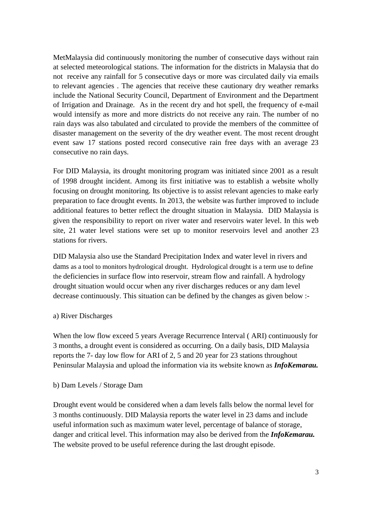MetMalaysia did continuously monitoring the number of consecutive days without rain at selected meteorological stations. The information for the districts in Malaysia that do not receive any rainfall for 5 consecutive days or more was circulated daily via emails to relevant agencies . The agencies that receive these cautionary dry weather remarks include the National Security Council, Department of Environment and the Department of Irrigation and Drainage. As in the recent dry and hot spell, the frequency of e-mail would intensify as more and more districts do not receive any rain. The number of no rain days was also tabulated and circulated to provide the members of the committee of disaster management on the severity of the dry weather event. The most recent drought event saw 17 stations posted record consecutive rain free days with an average 23 consecutive no rain days.

For DID Malaysia, its drought monitoring program was initiated since 2001 as a result of 1998 drought incident. Among its first initiative was to establish a website wholly focusing on drought monitoring. Its objective is to assist relevant agencies to make early preparation to face drought events. In 2013, the website was further improved to include additional features to better reflect the drought situation in Malaysia. DID Malaysia is given the responsibility to report on river water and reservoirs water level. In this web site, 21 water level stations were set up to monitor reservoirs level and another 23 stations for rivers.

DID Malaysia also use the Standard Precipitation Index and water level in rivers and dams as a tool to monitors hydrological drought. Hydrological drought is a term use to define the deficiencies in surface flow into reservoir, stream flow and rainfall. A hydrology drought situation would occur when any river discharges reduces or any dam level decrease continuously. This situation can be defined by the changes as given below :-

#### a) River Discharges

When the low flow exceed 5 years Average Recurrence Interval ( ARI) continuously for 3 months, a drought event is considered as occurring. On a daily basis, DID Malaysia reports the 7- day low flow for ARI of 2, 5 and 20 year for 23 stations throughout Peninsular Malaysia and upload the information via its website known as *InfoKemarau.*

#### b) Dam Levels / Storage Dam

Drought event would be considered when a dam levels falls below the normal level for 3 months continuously. DID Malaysia reports the water level in 23 dams and include useful information such as maximum water level, percentage of balance of storage, danger and critical level. This information may also be derived from the *InfoKemarau.*  The website proved to be useful reference during the last drought episode.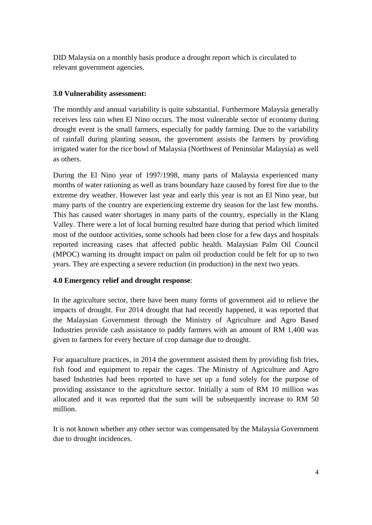DID Malaysia on a monthly basis produce a drought report which is circulated to relevant government agencies.

### **3.0 Vulnerability assessment:**

The monthly and annual variability is quite substantial. Furthermore Malaysia generally receives less rain when El Nino occurs. The most vulnerable sector of economy during drought event is the small farmers, especially for paddy farming. Due to the variability of rainfall during planting season, the government assists the farmers by providing irrigated water for the rice bowl of Malaysia (Northwest of Peninsular Malaysia) as well as others.

During the El Nino year of 1997/1998, many parts of Malaysia experienced many months of water rationing as well as trans boundary haze caused by forest fire due to the extreme dry weather. However last year and early this year is not an El Nino year, but many parts of the country are experiencing extreme dry season for the last few months. This has caused water shortages in many parts of the country, especially in the Klang Valley. There were a lot of local burning resulted haze during that period which limited most of the outdoor activities, some schools had been close for a few days and hospitals reported increasing cases that affected public health. Malaysian Palm Oil Council (MPOC) warning its drought impact on palm oil production could be felt for up to two years. They are expecting a severe reduction (in production) in the next two years.

## **4.0 Emergency relief and drought response**:

In the agriculture sector, there have been many forms of government aid to relieve the impacts of drought. For 2014 drought that had recently happened, it was reported that the Malaysian Government through the Ministry of Agriculture and Agro Based Industries provide cash assistance to paddy farmers with an amount of RM 1,400 was given to farmers for every hectare of crop damage due to drought.

For aquaculture practices, in 2014 the government assisted them by providing fish fries, fish food and equipment to repair the cages. The Ministry of Agriculture and Agro based Industries had been reported to have set up a fund solely for the purpose of providing assistance to the agriculture sector. Initially a sum of RM 10 million was allocated and it was reported that the sum will be subsequently increase to RM 50 million.

It is not known whether any other sector was compensated by the Malaysia Government due to drought incidences.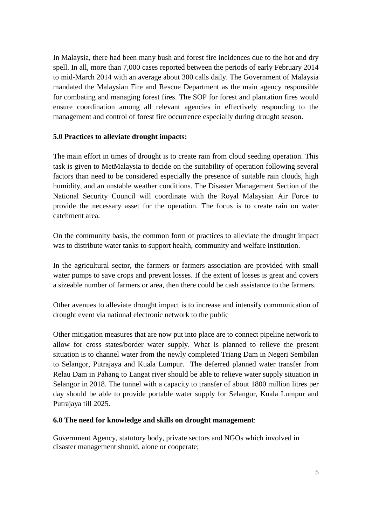In Malaysia, there had been many bush and forest fire incidences due to the hot and dry spell. In all, more than 7,000 cases reported between the periods of early February 2014 to mid-March 2014 with an average about 300 calls daily. The Government of Malaysia mandated the Malaysian Fire and Rescue Department as the main agency responsible for combating and managing forest fires. The SOP for forest and plantation fires would ensure coordination among all relevant agencies in effectively responding to the management and control of forest fire occurrence especially during drought season.

#### **5.0 Practices to alleviate drought impacts:**

The main effort in times of drought is to create rain from cloud seeding operation. This task is given to MetMalaysia to decide on the suitability of operation following several factors than need to be considered especially the presence of suitable rain clouds, high humidity, and an unstable weather conditions. The Disaster Management Section of the National Security Council will coordinate with the Royal Malaysian Air Force to provide the necessary asset for the operation. The focus is to create rain on water catchment area.

On the community basis, the common form of practices to alleviate the drought impact was to distribute water tanks to support health, community and welfare institution.

In the agricultural sector, the farmers or farmers association are provided with small water pumps to save crops and prevent losses. If the extent of losses is great and covers a sizeable number of farmers or area, then there could be cash assistance to the farmers.

Other avenues to alleviate drought impact is to increase and intensify communication of drought event via national electronic network to the public

Other mitigation measures that are now put into place are to connect pipeline network to allow for cross states/border water supply. What is planned to relieve the present situation is to channel water from the newly completed Triang Dam in Negeri Sembilan to Selangor, Putrajaya and Kuala Lumpur. The deferred planned water transfer from Relau Dam in Pahang to Langat river should be able to relieve water supply situation in Selangor in 2018. The tunnel with a capacity to transfer of about 1800 million litres per day should be able to provide portable water supply for Selangor, Kuala Lumpur and Putrajaya till 2025.

#### **6.0 The need for knowledge and skills on drought management**:

Government Agency, statutory body, private sectors and NGOs which involved in disaster management should, alone or cooperate;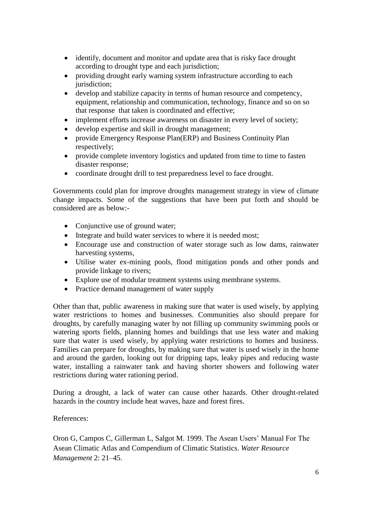- identify, document and monitor and update area that is risky face drought according to drought type and each jurisdiction;
- providing drought early warning system infrastructure according to each jurisdiction;
- develop and stabilize capacity in terms of human resource and competency, equipment, relationship and communication, technology, finance and so on so that response that taken is coordinated and effective;
- implement efforts increase awareness on disaster in every level of society;
- develop expertise and skill in drought management;
- provide Emergency Response Plan(ERP) and Business Continuity Plan respectively;
- provide complete inventory logistics and updated from time to time to fasten disaster response;
- coordinate drought drill to test preparedness level to face drought.

Governments could plan for improve droughts management strategy in view of climate change impacts. Some of the suggestions that have been put forth and should be considered are as below:-

- Conjunctive use of ground water;
- Integrate and build water services to where it is needed most;
- Encourage use and construction of water storage such as low dams, rainwater harvesting systems,
- Utilise water ex-mining pools, flood mitigation ponds and other ponds and provide linkage to rivers;
- Explore use of modular treatment systems using membrane systems.
- Practice demand management of water supply

Other than that, public awareness in making sure that water is used wisely, by applying water restrictions to homes and businesses. Communities also should prepare for droughts, by carefully managing water by not filling up community swimming pools or watering sports fields, planning homes and buildings that use less water and making sure that water is used wisely, by applying water restrictions to homes and business. Families can prepare for droughts, by making sure that water is used wisely in the home and around the garden, looking out for dripping taps, leaky pipes and reducing waste water, installing a rainwater tank and having shorter showers and following water restrictions during water rationing period.

During a drought, a lack of water can cause other hazards. Other drought-related hazards in the country include heat waves, haze and forest fires.

References:

Oron G, Campos C, Gillerman L, Salgot M. 1999. The Asean Users' Manual For The Asean Climatic Atlas and Compendium of Climatic Statistics. *Water Resource Management* 2: 21–45.